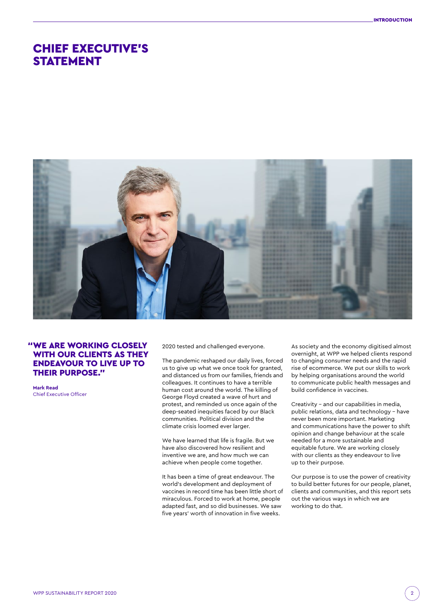# CHIEF EXECUTIVE'S STATEMENT



# "WE ARE WORKING CLOSELY WITH OUR CLIENTS AS THEY ENDEAVOUR TO LIVE UP TO THEIR PURPOSE."

**Mark Read**  Chief Executive Officer 2020 tested and challenged everyone.

The pandemic reshaped our daily lives, forced us to give up what we once took for granted, and distanced us from our families, friends and colleagues. It continues to have a terrible human cost around the world. The killing of George Floyd created a wave of hurt and protest, and reminded us once again of the deep-seated inequities faced by our Black communities. Political division and the climate crisis loomed ever larger.

We have learned that life is fragile. But we have also discovered how resilient and inventive we are, and how much we can achieve when people come together.

It has been a time of great endeavour. The world's development and deployment of vaccines in record time has been little short of miraculous. Forced to work at home, people adapted fast, and so did businesses. We saw five years' worth of innovation in five weeks.

As society and the economy digitised almost overnight, at WPP we helped clients respond to changing consumer needs and the rapid rise of ecommerce. We put our skills to work by helping organisations around the world to communicate public health messages and build confidence in vaccines.

Creativity – and our capabilities in media, public relations, data and technology – have never been more important. Marketing and communications have the power to shift opinion and change behaviour at the scale needed for a more sustainable and equitable future. We are working closely with our clients as they endeavour to live up to their purpose.

Our purpose is to use the power of creativity to build better futures for our people, planet, clients and communities, and this report sets out the various ways in which we are working to do that.